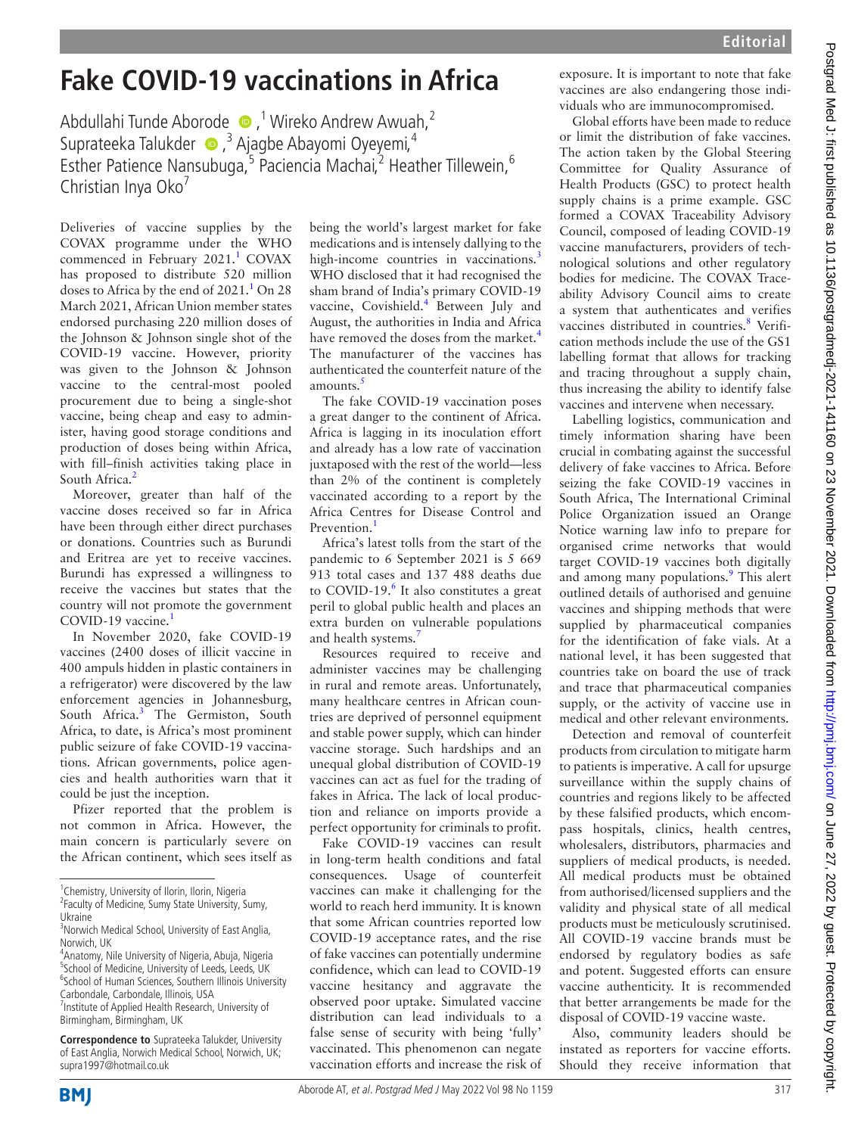## **Fake COVID-19 vaccinations in Africa**

Abdullahi Tunde Aborode,1 Wireko Andrew Awuah,2 Suprateeka Talukder (D, <sup>3</sup> Ajagbe Abayomi Oyeyemi,<sup>4</sup> Esther Patience Nansubuga,<sup>5</sup> Paciencia Machai,<sup>2</sup> Heather Tillewein,<sup>6</sup> Christian Inva Oko<sup>7</sup>

Deliveries of vaccine supplies by the COVAX programme under the WHO commenced in February 202[1](#page-1-0).<sup>1</sup> COVAX has proposed to distribute 520 million doses to Africa by the end of  $2021.<sup>1</sup>$  On 28 March 2021, African Union member states endorsed purchasing 220 million doses of the Johnson & Johnson single shot of the COVID-19 vaccine. However, priority was given to the Johnson & Johnson vaccine to the central-most pooled procurement due to being a single-shot vaccine, being cheap and easy to administer, having good storage conditions and production of doses being within Africa, with fill–finish activities taking place in South Africa.<sup>2</sup>

Moreover, greater than half of the vaccine doses received so far in Africa have been through either direct purchases or donations. Countries such as Burundi and Eritrea are yet to receive vaccines. Burundi has expressed a willingness to receive the vaccines but states that the country will not promote the government COVID-[1](#page-1-0)9 vaccine.<sup>1</sup>

In November 2020, fake COVID-19 vaccines (2400 doses of illicit vaccine in 400 ampuls hidden in plastic containers in a refrigerator) were discovered by the law enforcement agencies in Johannesburg, South Africa.<sup>3</sup> The Germiston, South Africa, to date, is Africa's most prominent public seizure of fake COVID-19 vaccinations. African governments, police agencies and health authorities warn that it could be just the inception.

Pfizer reported that the problem is not common in Africa. However, the main concern is particularly severe on the African continent, which sees itself as

**Correspondence to** Suprateeka Talukder, University of East Anglia, Norwich Medical School, Norwich, UK; supra1997@hotmail.co.uk

being the world's largest market for fake medications and is intensely dallying to the high-income countries in vaccinations.<sup>3</sup> WHO disclosed that it had recognised the sham brand of India's primary COVID-19 vaccine, Covishield.<sup>4</sup> Between July and August, the authorities in India and Africa have removed the doses from the market.<sup>[4](#page-1-3)</sup> The manufacturer of the vaccines has authenticated the counterfeit nature of the amounts.<sup>[5](#page-1-4)</sup>

The fake COVID-19 vaccination poses a great danger to the continent of Africa. Africa is lagging in its inoculation effort and already has a low rate of vaccination juxtaposed with the rest of the world—less than 2% of the continent is completely vaccinated according to a report by the Africa Centres for Disease Control and Prevention<sup>[1](#page-1-0)</sup>

Africa's latest tolls from the start of the pandemic to 6 September 2021 is 5 669 913 total cases and 137 488 deaths due to COVID-19.<sup>[6](#page-1-5)</sup> It also constitutes a great peril to global public health and places an extra burden on vulnerable populations and health systems.<sup>[7](#page-1-6)</sup>

Resources required to receive and administer vaccines may be challenging in rural and remote areas. Unfortunately, many healthcare centres in African countries are deprived of personnel equipment and stable power supply, which can hinder vaccine storage. Such hardships and an unequal global distribution of COVID-19 vaccines can act as fuel for the trading of fakes in Africa. The lack of local production and reliance on imports provide a perfect opportunity for criminals to profit.

Fake COVID-19 vaccines can result in long-term health conditions and fatal consequences. Usage of counterfeit vaccines can make it challenging for the world to reach herd immunity. It is known that some African countries reported low COVID-19 acceptance rates, and the rise of fake vaccines can potentially undermine confidence, which can lead to COVID-19 vaccine hesitancy and aggravate the observed poor uptake. Simulated vaccine distribution can lead individuals to a false sense of security with being 'fully' vaccinated. This phenomenon can negate vaccination efforts and increase the risk of exposure. It is important to note that fake vaccines are also endangering those individuals who are immunocompromised.

Global efforts have been made to reduce or limit the distribution of fake vaccines. The action taken by the Global Steering Committee for Quality Assurance of Health Products (GSC) to protect health supply chains is a prime example. GSC formed a COVAX Traceability Advisory Council, composed of leading COVID-19 vaccine manufacturers, providers of technological solutions and other regulatory bodies for medicine. The COVAX Traceability Advisory Council aims to create a system that authenticates and verifies vaccines distributed in countries.<sup>[8](#page-1-7)</sup> Verification methods include the use of the GS1 labelling format that allows for tracking and tracing throughout a supply chain, thus increasing the ability to identify false vaccines and intervene when necessary.

Labelling logistics, communication and timely information sharing have been crucial in combating against the successful delivery of fake vaccines to Africa. Before seizing the fake COVID-19 vaccines in South Africa, The International Criminal Police Organization issued an Orange Notice warning law info to prepare for organised crime networks that would target COVID-19 vaccines both digitally and among many populations.<sup>[9](#page-1-8)</sup> This alert outlined details of authorised and genuine vaccines and shipping methods that were supplied by pharmaceutical companies for the identification of fake vials. At a national level, it has been suggested that countries take on board the use of track and trace that pharmaceutical companies supply, or the activity of vaccine use in medical and other relevant environments.

Detection and removal of counterfeit products from circulation to mitigate harm to patients is imperative. A call for upsurge surveillance within the supply chains of countries and regions likely to be affected by these falsified products, which encompass hospitals, clinics, health centres, wholesalers, distributors, pharmacies and suppliers of medical products, is needed. All medical products must be obtained from authorised/licensed suppliers and the validity and physical state of all medical products must be meticulously scrutinised. All COVID-19 vaccine brands must be endorsed by regulatory bodies as safe and potent. Suggested efforts can ensure vaccine authenticity. It is recommended that better arrangements be made for the disposal of COVID-19 vaccine waste.

Also, community leaders should be instated as reporters for vaccine efforts. Should they receive information that



<sup>&</sup>lt;sup>1</sup> Chemistry, University of Ilorin, Ilorin, Nigeria

<sup>&</sup>lt;sup>2</sup> Faculty of Medicine, Sumy State University, Sumy, Ukraine

<sup>&</sup>lt;sup>3</sup> Norwich Medical School, University of East Anglia, Norwich, UK

<sup>4</sup> Anatomy, Nile University of Nigeria, Abuja, Nigeria <sup>5</sup>School of Medicine, University of Leeds, Leeds, UK <sup>6</sup>School of Human Sciences, Southern Illinois University Carbondale, Carbondale, Illinois, USA <sup>7</sup> Institute of Applied Health Research, University of Birmingham, Birmingham, UK